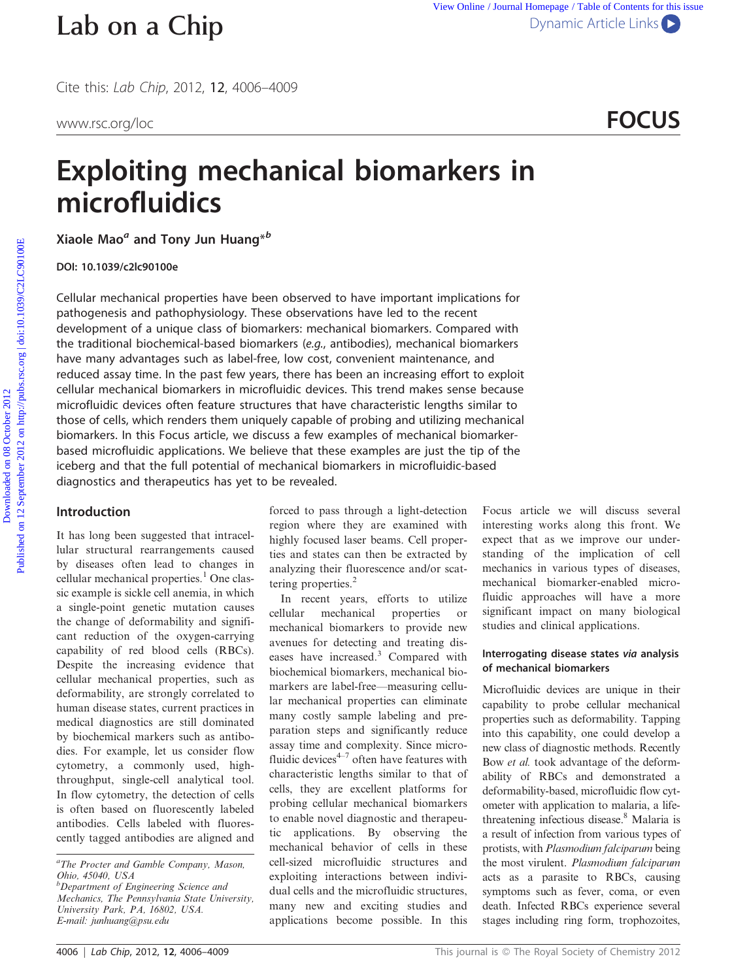Cite this: Lab Chip, 2012, 12, 4006–4009



# Exploiting mechanical biomarkers in microfluidics

Xiaole Mao $^a$  and Tony Jun Huang $^{\ast b}$ 

DOI: 10.1039/c2lc90100e

Cellular mechanical properties have been observed to have important implications for pathogenesis and pathophysiology. These observations have led to the recent development of a unique class of biomarkers: mechanical biomarkers. Compared with the traditional biochemical-based biomarkers (e.g., antibodies), mechanical biomarkers have many advantages such as label-free, low cost, convenient maintenance, and reduced assay time. In the past few years, there has been an increasing effort to exploit cellular mechanical biomarkers in microfluidic devices. This trend makes sense because microfluidic devices often feature structures that have characteristic lengths similar to those of cells, which renders them uniquely capable of probing and utilizing mechanical biomarkers. In this Focus article, we discuss a few examples of mechanical biomarkerbased microfluidic applications. We believe that these examples are just the tip of the iceberg and that the full potential of mechanical biomarkers in microfluidic-based diagnostics and therapeutics has yet to be revealed. Lab on a Chip<br>
Cite this *tob Chip,* 2012, 4006-4009<br>
Wewster, learning Download on the properties and the properties and the properties are the content of the content of the content of the contents for the properties and

# Introduction

It has long been suggested that intracellular structural rearrangements caused by diseases often lead to changes in cellular mechanical properties.<sup>1</sup> One classic example is sickle cell anemia, in which a single-point genetic mutation causes the change of deformability and significant reduction of the oxygen-carrying capability of red blood cells (RBCs). Despite the increasing evidence that cellular mechanical properties, such as deformability, are strongly correlated to human disease states, current practices in medical diagnostics are still dominated by biochemical markers such as antibodies. For example, let us consider flow cytometry, a commonly used, highthroughput, single-cell analytical tool. In flow cytometry, the detection of cells is often based on fluorescently labeled antibodies. Cells labeled with fluorescently tagged antibodies are aligned and forced to pass through a light-detection region where they are examined with highly focused laser beams. Cell properties and states can then be extracted by analyzing their fluorescence and/or scattering properties.<sup>2</sup>

In recent years, efforts to utilize cellular mechanical properties or mechanical biomarkers to provide new avenues for detecting and treating diseases have increased.<sup>3</sup> Compared with biochemical biomarkers, mechanical biomarkers are label-free—measuring cellular mechanical properties can eliminate many costly sample labeling and preparation steps and significantly reduce assay time and complexity. Since microfluidic devices $4-7$  often have features with characteristic lengths similar to that of cells, they are excellent platforms for probing cellular mechanical biomarkers to enable novel diagnostic and therapeutic applications. By observing the mechanical behavior of cells in these cell-sized microfluidic structures and exploiting interactions between individual cells and the microfluidic structures, many new and exciting studies and applications become possible. In this Focus article we will discuss several interesting works along this front. We expect that as we improve our understanding of the implication of cell mechanics in various types of diseases, mechanical biomarker-enabled microfluidic approaches will have a more significant impact on many biological studies and clinical applications.

#### Interrogating disease states via analysis of mechanical biomarkers

Microfluidic devices are unique in their capability to probe cellular mechanical properties such as deformability. Tapping into this capability, one could develop a new class of diagnostic methods. Recently Bow et al. took advantage of the deformability of RBCs and demonstrated a deformability-based, microfluidic flow cytometer with application to malaria, a lifethreatening infectious disease.<sup>8</sup> Malaria is a result of infection from various types of protists, with Plasmodium falciparum being the most virulent. Plasmodium falciparum acts as a parasite to RBCs, causing symptoms such as fever, coma, or even death. Infected RBCs experience several stages including ring form, trophozoites,

<sup>&</sup>lt;sup>a</sup>The Procter and Gamble Company, Mason, Ohio, 45040, USA

<sup>&</sup>lt;sup>b</sup>Department of Engineering Science and Mechanics, The Pennsylvania State University, University Park, PA, 16802, USA. E-mail: junhuang@psu.edu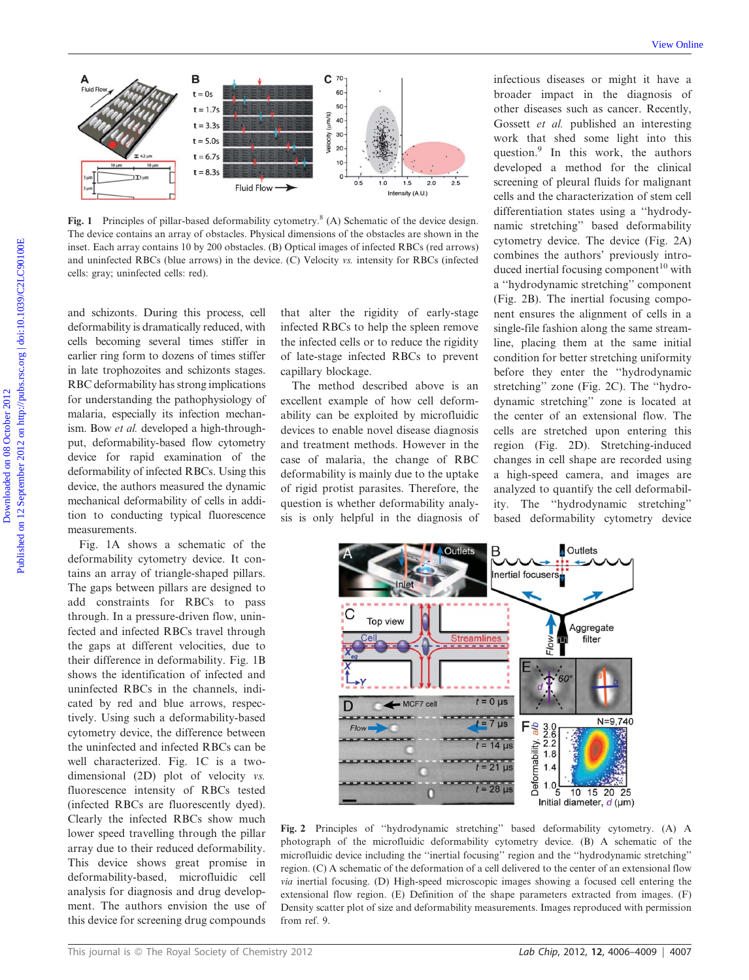

Fig. 1 Principles of pillar-based deformability cytometry.<sup>8</sup> (A) Schematic of the device design. The device contains an array of obstacles. Physical dimensions of the obstacles are shown in the inset. Each array contains 10 by 200 obstacles. (B) Optical images of infected RBCs (red arrows) and uninfected RBCs (blue arrows) in the device. (C) Velocity vs. intensity for RBCs (infected cells: gray; uninfected cells: red).

and schizonts. During this process, cell deformability is dramatically reduced, with cells becoming several times stiffer in earlier ring form to dozens of times stiffer in late trophozoites and schizonts stages. RBC deformability has strong implications for understanding the pathophysiology of malaria, especially its infection mechanism. Bow et al. developed a high-throughput, deformability-based flow cytometry device for rapid examination of the deformability of infected RBCs. Using this device, the authors measured the dynamic mechanical deformability of cells in addition to conducting typical fluorescence measurements.

Fig. 1A shows a schematic of the deformability cytometry device. It contains an array of triangle-shaped pillars. The gaps between pillars are designed to add constraints for RBCs to pass through. In a pressure-driven flow, uninfected and infected RBCs travel through the gaps at different velocities, due to their difference in deformability. Fig. 1B shows the identification of infected and uninfected RBCs in the channels, indicated by red and blue arrows, respectively. Using such a deformability-based cytometry device, the difference between the uninfected and infected RBCs can be well characterized. Fig. 1C is a twodimensional (2D) plot of velocity vs. fluorescence intensity of RBCs tested (infected RBCs are fluorescently dyed). Clearly the infected RBCs show much lower speed travelling through the pillar array due to their reduced deformability. This device shows great promise in deformability-based, microfluidic cell analysis for diagnosis and drug development. The authors envision the use of this device for screening drug compounds

that alter the rigidity of early-stage infected RBCs to help the spleen remove the infected cells or to reduce the rigidity of late-stage infected RBCs to prevent capillary blockage.

The method described above is an excellent example of how cell deformability can be exploited by microfluidic devices to enable novel disease diagnosis and treatment methods. However in the case of malaria, the change of RBC deformability is mainly due to the uptake of rigid protist parasites. Therefore, the question is whether deformability analysis is only helpful in the diagnosis of

infectious diseases or might it have a broader impact in the diagnosis of other diseases such as cancer. Recently, Gossett et al. published an interesting work that shed some light into this question.<sup>9</sup> In this work, the authors developed a method for the clinical screening of pleural fluids for malignant cells and the characterization of stem cell differentiation states using a ''hydrodynamic stretching'' based deformability cytometry device. The device (Fig. 2A) combines the authors' previously introduced inertial focusing component<sup>10</sup> with a ''hydrodynamic stretching'' component (Fig. 2B). The inertial focusing component ensures the alignment of cells in a single-file fashion along the same streamline, placing them at the same initial condition for better stretching uniformity before they enter the ''hydrodynamic stretching'' zone (Fig. 2C). The ''hydrodynamic stretching'' zone is located at the center of an extensional flow. The cells are stretched upon entering this region (Fig. 2D). Stretching-induced changes in cell shape are recorded using a high-speed camera, and images are analyzed to quantify the cell deformability. The ''hydrodynamic stretching'' based deformability cytometry device Downloaded on 12 September 2013 Control of the september 2012 on the september 2013 Control of the september 2013 on the september 2013 of the september 2013 Control of the september 2013 Control of the september 2013 Con



Fig. 2 Principles of ''hydrodynamic stretching'' based deformability cytometry. (A) A photograph of the microfluidic deformability cytometry device. (B) A schematic of the microfluidic device including the ''inertial focusing'' region and the ''hydrodynamic stretching'' region. (C) A schematic of the deformation of a cell delivered to the center of an extensional flow via inertial focusing. (D) High-speed microscopic images showing a focused cell entering the extensional flow region. (E) Definition of the shape parameters extracted from images. (F) Density scatter plot of size and deformability measurements. Images reproduced with permission from ref. 9.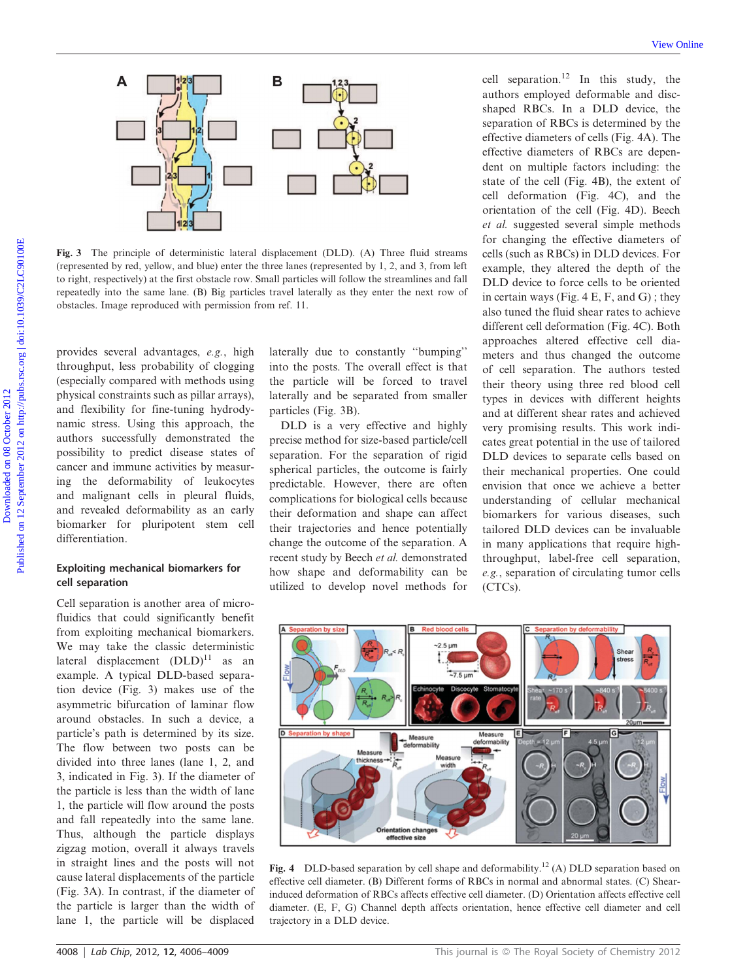

Fig. 3 The principle of deterministic lateral displacement (DLD). (A) Three fluid streams (represented by red, yellow, and blue) enter the three lanes (represented by 1, 2, and 3, from left to right, respectively) at the first obstacle row. Small particles will follow the streamlines and fall repeatedly into the same lane. (B) Big particles travel laterally as they enter the next row of obstacles. Image reproduced with permission from ref. 11.

provides several advantages, e.g., high throughput, less probability of clogging (especially compared with methods using physical constraints such as pillar arrays), and flexibility for fine-tuning hydrodynamic stress. Using this approach, the authors successfully demonstrated the possibility to predict disease states of cancer and immune activities by measuring the deformability of leukocytes and malignant cells in pleural fluids, and revealed deformability as an early biomarker for pluripotent stem cell differentiation.

#### Exploiting mechanical biomarkers for cell separation

Cell separation is another area of microfluidics that could significantly benefit from exploiting mechanical biomarkers. We may take the classic deterministic lateral displacement  $(DLD)^{11}$  as an example. A typical DLD-based separation device (Fig. 3) makes use of the asymmetric bifurcation of laminar flow around obstacles. In such a device, a particle's path is determined by its size. The flow between two posts can be divided into three lanes (lane 1, 2, and 3, indicated in Fig. 3). If the diameter of the particle is less than the width of lane 1, the particle will flow around the posts and fall repeatedly into the same lane. Thus, although the particle displays zigzag motion, overall it always travels in straight lines and the posts will not cause lateral displacements of the particle (Fig. 3A). In contrast, if the diameter of the particle is larger than the width of lane 1, the particle will be displaced

laterally due to constantly ''bumping'' into the posts. The overall effect is that the particle will be forced to travel laterally and be separated from smaller particles (Fig. 3B).

DLD is a very effective and highly precise method for size-based particle/cell separation. For the separation of rigid spherical particles, the outcome is fairly predictable. However, there are often complications for biological cells because their deformation and shape can affect their trajectories and hence potentially change the outcome of the separation. A recent study by Beech et al. demonstrated how shape and deformability can be utilized to develop novel methods for

cell separation.<sup>12</sup> In this study, the authors employed deformable and discshaped RBCs. In a DLD device, the separation of RBCs is determined by the effective diameters of cells (Fig. 4A). The effective diameters of RBCs are dependent on multiple factors including: the state of the cell (Fig. 4B), the extent of cell deformation (Fig. 4C), and the orientation of the cell (Fig. 4D). Beech et al. suggested several simple methods for changing the effective diameters of cells (such as RBCs) in DLD devices. For example, they altered the depth of the DLD device to force cells to be oriented in certain ways (Fig. 4 E, F, and G) ; they also tuned the fluid shear rates to achieve different cell deformation (Fig. 4C). Both approaches altered effective cell diameters and thus changed the outcome of cell separation. The authors tested their theory using three red blood cell types in devices with different heights and at different shear rates and achieved very promising results. This work indicates great potential in the use of tailored DLD devices to separate cells based on their mechanical properties. One could envision that once we achieve a better understanding of cellular mechanical biomarkers for various diseases, such tailored DLD devices can be invaluable in many applications that require highthroughput, label-free cell separation, e.g., separation of circulating tumor cells (CTCs). **28 Downloaded on 12 Downloaded on 12 Constrained on the constrained on the constrained on the constrained on the constrained on the constrained on 12 DD devices the constrained on the constrained on the constrained** 



Fig. 4 DLD-based separation by cell shape and deformability.<sup>12</sup> (A) DLD separation based on effective cell diameter. (B) Different forms of RBCs in normal and abnormal states. (C) Shearinduced deformation of RBCs affects effective cell diameter. (D) Orientation affects effective cell diameter. (E, F, G) Channel depth affects orientation, hence effective cell diameter and cell trajectory in a DLD device.